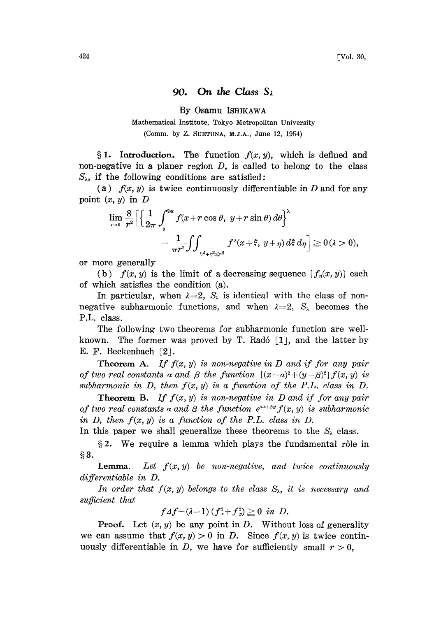## 90. On the Class  $S_{\lambda}$

By Osamu ISHIKAWA

## Mathematical Institute, Tokyo Metropolitan University (Comm. by Z. SUETUNA, M.J.A., June 12, 1954)

§ 1. Introduction. The function  $f(x, y)$ , which is defined and non-negative in a planer region  $D$ , is called to belong to the class  $S_{\lambda}$ , if the following conditions are satisfied:

(a)  $f(x, y)$  is twice continuously differentiable in D and for any point  $(x, y)$  in  $D$ 

$$
\lim_{r \to 0} \frac{8}{r^2} \Biggl[ \Biggl\{ \frac{1}{2\pi} \int_0^{2\pi} f(x + r \cos \theta, y + r \sin \theta) d\theta \Biggr\}^{\lambda}
$$
  
\n
$$
- \frac{1}{\pi r^2} \iint_{\frac{2}{3} + r^2 \leq r^2} f^{\lambda}(x + \xi, y + \eta) d\xi d\eta \Biggr] \geq 0 (\lambda > 0),
$$
  
\nmore generally  
\n(b)  $f(x, y)$  is the limit of a decreasing sequence  $\{f_n(x, y)\}$  each

or more generally

of which satisfies the condition (a).

In particular, when  $\lambda=2$ ,  $S_{\lambda}$  is identical with the class of nonnegative subharmonic functions, and when  $\lambda = 2$ ,  $S_{\lambda}$  becomes the P.L. class.

The following two theorems for subharmonic function are wellknown. The former was proved by T. Radó  $\lceil 1 \rceil$ , and the latter by E. F. Beckenbach  $[2]$ .

**Theorem A.** If  $f(x, y)$  is non-negative in D and if for any pair of two real constants a and  $\beta$  the function  ${(x-a)^2 + (y-\beta)^2} f(x, y)$  is subharmonic in D, then  $f(x, y)$  is a function of the P.L. class in D.

**Theorem B.** If  $f(x, y)$  is non-negative in D and if for any pair of two real constants a and  $\beta$  the function  $e^{ax+\beta y} f(x, y)$  is subharmonic in D, then  $f(x, y)$  is a function of the P.L. class in D.

In this paper we shall generalize these theorems to the  $S_{\lambda}$  class.

 $\S 2$ . We require a lemma which plays the fundamental rôle in  $$3.$ 

**Lemma.** Let  $f(x, y)$  be non-negative, and twice continuously differentiable in D.

In order that  $f(x, y)$  belongs to the class  $S_{\lambda}$ , it is necessary and sufficient that

$$
f\varDelta f-(\lambda-1)\left(f_x^2+f_y^2\right)\geqq 0 \ \ in \ \ D.
$$

**Proof.** Let  $(x, y)$  be any point in D. Without loss of generality we can assume that  $f(x, y) > 0$  in D. Since  $f(x, y)$  is twice continuously differentiable in D, we have for sufficiently small  $r > 0$ ,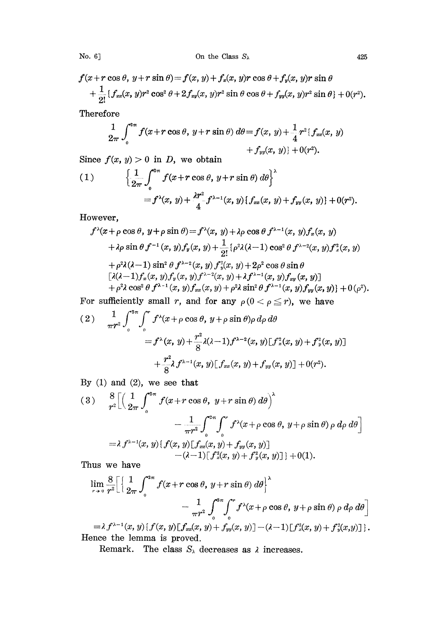No. 6] On the Class  $S_{\lambda}$  425

 $f(x+r\cos\theta, y+r\sin\theta) = f(x, y) + f_x(x, y)r\cos\theta + f_y(x, y)r\sin\theta$  $+\frac{1}{2!}\{f_{xx}(x, y)r^2\cos^2\theta+2f_{xy}(x, y)r^2\sin\theta\cos\theta+f_{yy}(x, y)r^2\sin\theta\}+0(r^2).$ 

Therefore

$$
\frac{1}{2\pi} \int_0^{2\pi} f(x+r\cos\theta, y+r\sin\theta) d\theta = f(x, y) + \frac{1}{4} r^2 \{f_{xx}(x, y) + f_{yy}(x, y)\} + 0(r^2).
$$

Since  $f(x, y) > 0$  in D, we obtain

(1) 
$$
\left\{\frac{1}{2\pi}\int_0^{2\pi} f(x+r\cos\theta, y+r\sin\theta) d\theta\right\}^{\lambda} = f^{\lambda}(x, y) + \frac{\lambda r^2}{4} f^{\lambda-1}(x, y) \{f_{xx}(x, y) + f_{yy}(x, y)\} + 0(r^2).
$$

However,

$$
f^{\lambda}(x+\rho\cos\theta, y+\rho\sin\theta) = f^{\lambda}(x, y) + \lambda\rho\cos\theta f^{\lambda-1}(x, y)f_x(x, y)
$$
  
+  $\lambda\rho\sin\theta f^{-1}(x, y)f_y(x, y) + \frac{1}{2!} \{\rho^2\lambda(\lambda-1)\cos^2\theta f^{\lambda-2}(x, y)f_x^2(x, y)$   
+  $\rho^2\lambda(\lambda-1)\sin^2\theta f^{\lambda-2}(x, y)f_y^2(x, y) + 2\rho^2\cos\theta\sin\theta$   

$$
[\lambda(\lambda-1)f_x(x, y)f_y(x, y)f^{\lambda-2}(x, y) + \lambda f^{\lambda-1}(x, y)f_{xy}(x, y)]
$$
  
+  $\rho^2\lambda\cos^2\theta f^{\lambda-1}(x, y)f_{xx}(x, y) + \rho^2\lambda\sin^2\theta f^{\lambda-1}(x, y)f_{yy}(x, y)] + 0(\rho^2).$ 

For sufficiently small r, and for any  $\rho(0 < \rho \leq r)$ , we have

$$
(2) \qquad \frac{1}{\pi r^{2}} \int_{0}^{2\pi} \int_{0}^{r} f^{\lambda}(x+\rho \cos \theta, y+\rho \sin \theta) \rho \, d\rho \, d\theta
$$
\n
$$
= f^{\lambda}(x, y) + \frac{r^{2}}{8} \lambda(\lambda - 1) f^{\lambda - 2}(x, y) [f^{\lambda}_{x}(x, y) + f^{\lambda}_{y}(x, y)]
$$
\n
$$
+ \frac{r^{2}}{8} \lambda f^{\lambda - 1}(x, y) [f_{xx}(x, y) + f_{yy}(x, y)] + 0(r^{2}).
$$

By  $(1)$  and  $(2)$ , we see that

$$
(3) \quad \frac{8}{r^2} \Biggl[ \Biggl( \frac{1}{2\pi} \int_0^{2\pi} f(x + r \cos \theta, y + r \sin \theta) \, d\theta \Biggr)^{\lambda} - \frac{1}{\pi r^2} \int_0^{2\pi} \int_0^r f^{\lambda}(x + \rho \cos \theta, y + \rho \sin \theta) \, \rho \, d\rho \, d\theta \Biggr] \\ = \lambda \, f^{\lambda - 1}(x, y) \{ f(x, y) [f_{xx}(x, y) + f_{yy}(x, y)] - (\lambda - 1) [f_x^2(x, y) + f_y^2(x, y)] \} + 0(1).
$$

Thus we have

$$
\lim_{r \to 0} \frac{8}{r^2} \Biggl[ \Biggl\{ \frac{1}{2\pi} \int_0^{2\pi} f(x + r \cos \theta, y + r \sin \theta) d\theta \Biggr\}^{\lambda} - \frac{1}{\pi r^2} \int_0^{2\pi} \int_0^r f^{\lambda}(x + \rho \cos \theta, y + \rho \sin \theta) \rho d\rho d\theta \Biggr]
$$
  
=  $\lambda f^{\lambda - 1}(x, y)$  if  $f(x, y)$  if  $f(x, y) + f(x, y) = (\lambda - 1) \int_0^{2\pi} f^2(x, y) \Biggr] + f^2(x, y)$ 

 $=\lambda f^{\lambda-1}(x, y)\{f(x, y)[f_{xx}(x, y)+f_{yy}(x, y)]-(\lambda-1)[f_{x}^{2}(x, y)+f_{y}^{2}(x, y)]\}.$ Hence the lemma is proved.

Remark. The class  $S_{\lambda}$  decreases as  $\lambda$  increases.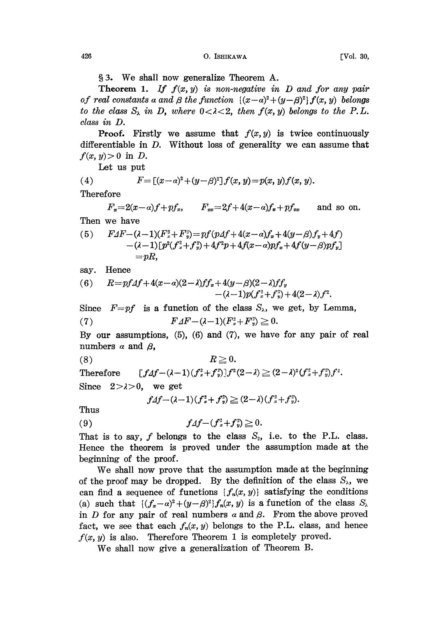3. We shall now generalize Theorem A.

**Theorem 1.** If  $f(x, y)$  is non-negative in D and for any pair of real constants a and  $\beta$  the function  $\{(x-a)^2 + (y-\beta)^2\} f(x, y)$  belongs to the class  $S_{\lambda}$  in D, where  $0 < \lambda < 2$ , then  $f(x, y)$  belongs to the P.L. class in D.

**Proof.** Firstly we assume that  $f(x, y)$  is twice continuously differentiable in D. Without loss of generality we can assume that  $f(x, y) > 0$  in D.

Let us put

(4) 
$$
F = [(x-a)^2 + (y-\beta)^2] f(x, y) = p(x, y) f(x, y).
$$

Therefore

 $F_x=2(x-a)f+pf_x$ ,  $F_{xx}=2f+4(x-a)f_x+pf_{xx}$  and so on. Then we have

(5)  $FAF-(\lambda-1)(F_x^2+F_y^2)=pf(pAf+4(x-a)f_x+4(y-\beta)f_y+4f)$  $-(\lambda - 1)\lceil p^2(f_x^2 + f_y^2) + 4f^2p + 4f(x - a)pf_x + 4f(y - \beta)pf_y \rceil$  $=$ *pR*.

say. Hence

(6) 
$$
R = pf \Delta f + 4(x - \alpha)(2 - \lambda)ff_x + 4(y - \beta)(2 - \lambda)ff_y - (\lambda - 1)p(f_x^2 + f_y^2) + 4(2 - \lambda)f^2.
$$

Since  $F=pf$  is a function of the class  $S_{\lambda}$ , we get, by Lemma,

(7) 
$$
F \Delta F - (\lambda - 1)(F_x^2 + F_y^2) \geq 0.
$$

By our assumptions,  $(5)$ ,  $(6)$  and  $(7)$ , we have for any pair of real numbers  $\alpha$  and  $\beta$ ,

$$
(8) \t R \geq 0.
$$

Therefore  $[f4f - (\lambda - 1)(f_x^2 + f_y^2)]f^2(2 - \lambda) \geq (2 - \lambda)^2 (f_x^2 + f_y^2)f^2.$ 

Since  $2>\lambda>0$ , we get

$$
f \Delta f - (\lambda - 1)(f_x^2 + f_y^2) \ge (2 - \lambda)(f_x^2 + f_y^2).
$$

Thus

(9)  $f \Delta f - (f_x^2 + f_y^2) \ge 0.$ 

That is to say,  $f$  belongs to the class  $S_2$ , i.e. to the P.L. class. Hence the theorem is proved under the assumption made at the beginning of the proof.

We shall now prove hat the assumption made at the beginning of the proof may be dropped. By the definition of the class  $S_{\lambda}$ , we can find a sequence of functions  $\{f_n(x, y)\}$  satisfying the conditions (a) such that  $\{(f_x-\alpha)^2+(y-\beta)^2\}f_n(x, y)$  is a function of the class  $S_\lambda$ in D for any pair of real numbers  $\alpha$  and  $\beta$ . From the above proved fact, we see that each  $f_n(x, y)$  belongs to the P.L. class, and hence  $f(x, y)$  is also. Therefore Theorem 1 is completely proved.

We shall now give <sup>a</sup> generalization of Theorem B.